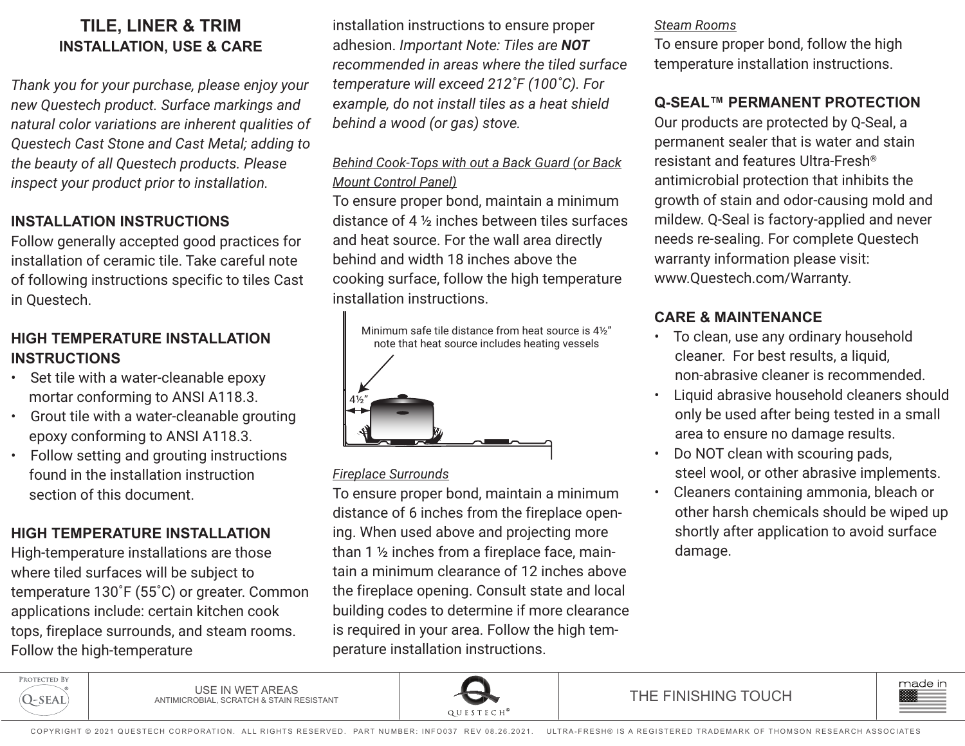# **TILE, LINER & TRIM INSTALLATION, USE & CARE**

*Thank you for your purchase, please enjoy your new Questech product. Surface markings and natural color variations are inherent qualities of Questech Cast Stone and Cast Metal; adding to the beauty of all Questech products. Please inspect your product prior to installation.*

## **INSTALLATION INSTRUCTIONS**

Follow generally accepted good practices for installation of ceramic tile. Take careful note of following instructions specific to tiles Cast in Questech.

## **HIGH TEMPERATURE INSTALLATION INSTRUCTIONS**

- Set tile with a water-cleanable epoxy mortar conforming to ANSI A118.3.
- Grout tile with a water-cleanable grouting epoxy conforming to ANSI A118.3.
- Follow setting and grouting instructions found in the installation instruction section of this document.

# **HIGH TEMPERATURE INSTALLATION**

High-temperature installations are those where tiled surfaces will be subject to temperature 130˚F (55˚C) or greater. Common applications include: certain kitchen cook tops, fireplace surrounds, and steam rooms. Follow the high-temperature

installation instructions to ensure proper adhesion. *Important Note: Tiles are NOT recommended in areas where the tiled surface temperature will exceed 212˚F (100˚C). For example, do not install tiles as a heat shield behind a wood (or gas) stove.* 

## *Behind Cook-Tops with out a Back Guard (or Back Mount Control Panel)*

To ensure proper bond, maintain a minimum distance of 4 ½ inches between tiles surfaces and heat source. For the wall area directly behind and width 18 inches above the cooking surface, follow the high temperature installation instructions.



### *Fireplace Surrounds*

To ensure proper bond, maintain a minimum distance of 6 inches from the fireplace opening. When used above and projecting more than 1 ½ inches from a fireplace face, maintain a minimum clearance of 12 inches above the fireplace opening. Consult state and local building codes to determine if more clearance is required in your area. Follow the high temperature installation instructions.

#### *Steam Rooms*

To ensure proper bond, follow the high temperature installation instructions.

## **Q-SEAL™ PERMANENT PROTECTION**

Our products are protected by Q-Seal, a permanent sealer that is water and stain resistant and features Ultra-Fresh® antimicrobial protection that inhibits the growth of stain and odor-causing mold and mildew. Q-Seal is factory-applied and never needs re-sealing. For complete Questech warranty information please visit: www.Questech.com/Warranty.

## **CARE & MAINTENANCE**

- To clean, use any ordinary household cleaner. For best results, a liquid, non-abrasive cleaner is recommended.
- Liquid abrasive household cleaners should only be used after being tested in a small area to ensure no damage results.
- Do NOT clean with scouring pads, steel wool, or other abrasive implements.
- Cleaners containing ammonia, bleach or other harsh chemicals should be wiped up shortly after application to avoid surface damage.